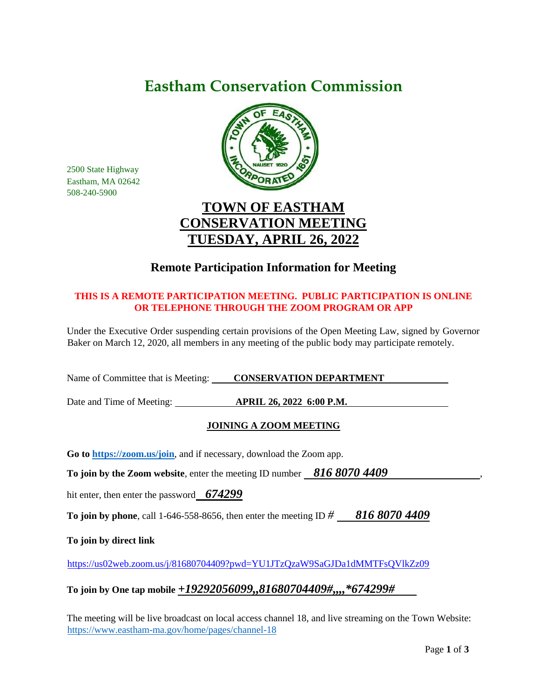# **Eastham Conservation Commission**



**TOWN OF EASTHAM CONSERVATION MEETING TUESDAY, APRIL 26, 2022**

## **Remote Participation Information for Meeting**

### **THIS IS A REMOTE PARTICIPATION MEETING. PUBLIC PARTICIPATION IS ONLINE OR TELEPHONE THROUGH THE ZOOM PROGRAM OR APP**

Under the Executive Order suspending certain provisions of the Open Meeting Law, signed by Governor Baker on March 12, 2020, all members in any meeting of the public body may participate remotely.

Name of Committee that is Meeting: **CONSERVATION DEPARTMENT** 

Date and Time of Meeting: **APRIL 26, 2022 6:00 P.M.** 

## **JOINING A ZOOM MEETING**

**Go to<https://zoom.us/join>**, and if necessary, download the Zoom app.

**To join by the Zoom website**, enter the meeting ID number 816 8070 4409

hit enter, then enter the password *674299*

**To join by phone**, call 1-646-558-8656, then enter the meeting ID *# 816 8070 4409*

**To join by direct link**

2500 State Highway Eastham, MA 02642 508-240-5900

<https://us02web.zoom.us/j/81680704409?pwd=YU1JTzQzaW9SaGJDa1dMMTFsQVlkZz09>

## **To join by One tap mobile** *+19292056099,,81680704409#,,,,\*674299#*

The meeting will be live broadcast on local access channel 18, and live streaming on the Town Website: <https://www.eastham-ma.gov/home/pages/channel-18>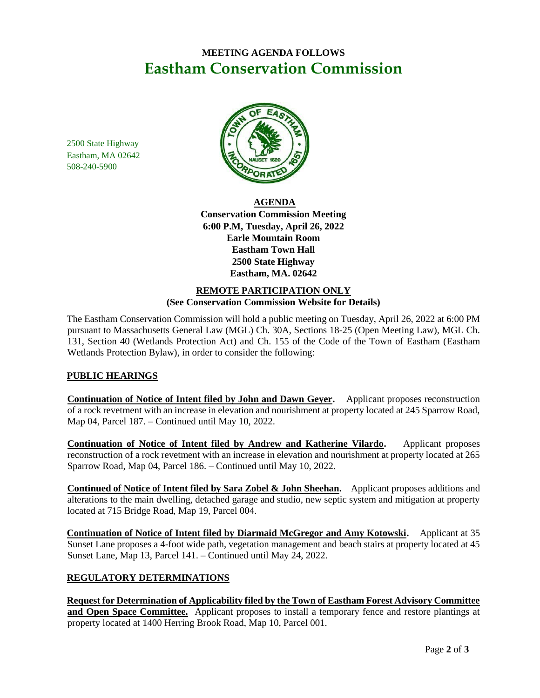## **MEETING AGENDA FOLLOWS Eastham Conservation Commission**

2500 State Highway Eastham, MA 02642 508-240-5900



**AGENDA Conservation Commission Meeting 6:00 P.M, Tuesday, April 26, 2022 Earle Mountain Room Eastham Town Hall 2500 State Highway Eastham, MA. 02642**

#### **REMOTE PARTICIPATION ONLY (See Conservation Commission Website for Details)**

The Eastham Conservation Commission will hold a public meeting on Tuesday, April 26, 2022 at 6:00 PM pursuant to Massachusetts General Law (MGL) Ch. 30A, Sections 18-25 (Open Meeting Law), MGL Ch. 131, Section 40 (Wetlands Protection Act) and Ch. 155 of the Code of the Town of Eastham (Eastham Wetlands Protection Bylaw), in order to consider the following:

## **PUBLIC HEARINGS**

**Continuation of Notice of Intent filed by John and Dawn Geyer.** Applicant proposes reconstruction of a rock revetment with an increase in elevation and nourishment at property located at 245 Sparrow Road, Map 04, Parcel 187. – Continued until May 10, 2022.

**Continuation of Notice of Intent filed by Andrew and Katherine Vilardo.** Applicant proposes reconstruction of a rock revetment with an increase in elevation and nourishment at property located at 265 Sparrow Road, Map 04, Parcel 186. – Continued until May 10, 2022.

**Continued of Notice of Intent filed by Sara Zobel & John Sheehan.** Applicant proposes additions and alterations to the main dwelling, detached garage and studio, new septic system and mitigation at property located at 715 Bridge Road, Map 19, Parcel 004.

**Continuation of Notice of Intent filed by Diarmaid McGregor and Amy Kotowski.** Applicant at 35 Sunset Lane proposes a 4-foot wide path, vegetation management and beach stairs at property located at 45 Sunset Lane, Map 13, Parcel 141. – Continued until May 24, 2022.

## **REGULATORY DETERMINATIONS**

**Request for Determination of Applicability filed by the Town of Eastham Forest Advisory Committee and Open Space Committee.** Applicant proposes to install a temporary fence and restore plantings at property located at 1400 Herring Brook Road, Map 10, Parcel 001.